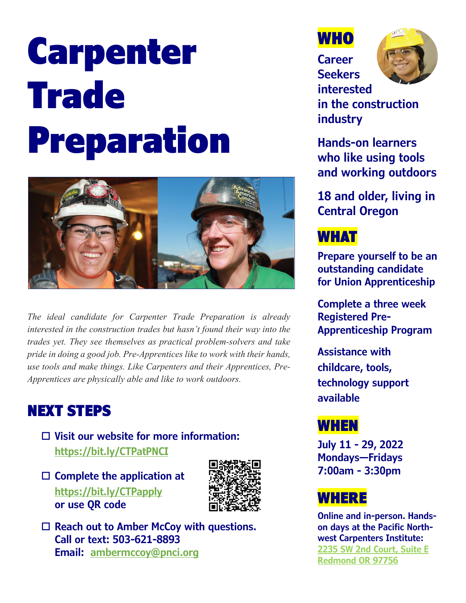# Carpenter Trade Preparation



*The ideal candidate for Carpenter Trade Preparation is already interested in the construction trades but hasn't found their way into the trades yet. They see themselves as practical problem-solvers and take pride in doing a good job. Pre-Apprentices like to work with their hands, use tools and make things. Like Carpenters and their Apprentices, Pre-Apprentices are physically able and like to work outdoors.* 

# NEXT STEPS

- **Visit our website for more information: <https://bit.ly/CTPatPNCI>**
- **Complete the application at <https://bit.ly/CTPapply> or use QR code**



 **Reach out to Amber McCoy with questions. Call or text: 503-621-8893 Email: [ambermccoy@pnci.org](mailto:ambermccoy@pnci.org)**



**Career Seekers interested** 



**in the construction industry**

**Hands-on learners who like using tools and working outdoors**

**18 and older, living in Central Oregon**

# WHAT

**Prepare yourself to be an outstanding candidate for Union Apprenticeship**

**Complete a three week Registered Pre-Apprenticeship Program**

**Assistance with childcare, tools, technology support available**

# WHEN

**July 11 - 29, 2022 Mondays—Fridays 7:00am - 3:30pm**

# **WHERE**

**Online and in-person. Handson days at the Pacific Northwest Carpenters Institute: [2235 SW 2nd Court, Suite E](https://www.google.com/maps/place/2235+SW+2nd+Ct,+Redmond,+OR+97756/@44.2556388,-121.1731505,19z/data=!4m13!1m7!3m6!1s0x54b8d4d1203b5d79:0x4febbbd2134dcfb7!2s2235+SW+2nd+Ct+E,+Redmond,+OR+97756!3b1!8m2!3d44.2551841!4d-121.1717256!3m4!1s0x54b8d4d121f40469:0xfa718f5748e64f88!8m2!3d44.2553111!4d-121.1718875) [Redmond OR 97756](https://www.google.com/maps/place/2235+SW+2nd+Ct,+Redmond,+OR+97756/@44.2556388,-121.1731505,19z/data=!4m13!1m7!3m6!1s0x54b8d4d1203b5d79:0x4febbbd2134dcfb7!2s2235+SW+2nd+Ct+E,+Redmond,+OR+97756!3b1!8m2!3d44.2551841!4d-121.1717256!3m4!1s0x54b8d4d121f40469:0xfa718f5748e64f88!8m2!3d44.2553111!4d-121.1718875)**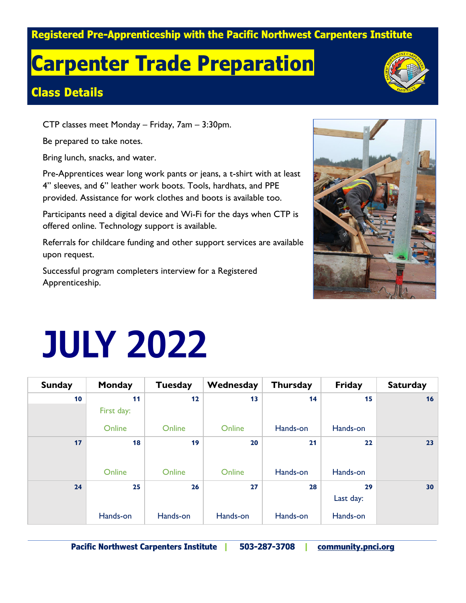#### **Registered Pre-Apprenticeship with the Pacific Northwest Carpenters Institute**

# **Carpenter Trade Preparation**

### **Class Details**

CTP classes meet Monday – Friday, 7am – 3:30pm.

Be prepared to take notes.

Bring lunch, snacks, and water.

Pre-Apprentices wear long work pants or jeans, a t-shirt with at least 4" sleeves, and 6" leather work boots. Tools, hardhats, and PPE provided. Assistance for work clothes and boots is available too.

Participants need a digital device and Wi-Fi for the days when CTP is offered online. Technology support is available.

Referrals for childcare funding and other support services are available upon request.

Successful program completers interview for a Registered Apprenticeship.



# **JULY 2022**

| <b>Sunday</b> | <b>Monday</b> | <b>Tuesday</b> | Wednesday | <b>Thursday</b> | <b>Friday</b> | <b>Saturday</b> |
|---------------|---------------|----------------|-----------|-----------------|---------------|-----------------|
| 10            | 11            | 12             | 13        | 14              | 15            | 16              |
|               | First day:    |                |           |                 |               |                 |
|               | Online        | Online         | Online    | Hands-on        | Hands-on      |                 |
| 17            | 18            | 19             | 20        | 21              | 22            | 23              |
|               |               |                |           |                 |               |                 |
|               | Online        | Online         | Online    | Hands-on        | Hands-on      |                 |
| 24            | 25            | 26             | 27        | 28              | 29            | 30              |
|               |               |                |           |                 | Last day:     |                 |
|               | Hands-on      | Hands-on       | Hands-on  | Hands-on        | Hands-on      |                 |

**Pacific Northwest Carpenters Institute | 503-287-3708 | [community.pnci.org](https://community.pnci.org/carpenters-trade-prep-pnci/)**

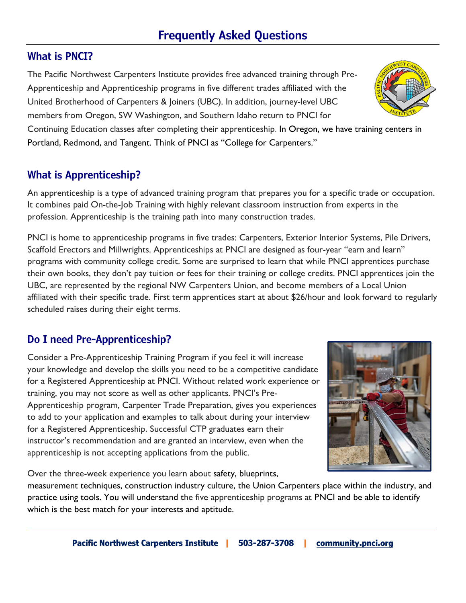## **Frequently Asked Questions**

#### **What is PNCI?**

The Pacific Northwest Carpenters Institute provides free advanced training through Pre-Apprenticeship and Apprenticeship programs in five different trades affiliated with the United Brotherhood of Carpenters & Joiners (UBC). In addition, journey-level UBC members from Oregon, SW Washington, and Southern Idaho return to PNCI for

Continuing Education classes after completing their apprenticeship. In Oregon, we have training centers in Portland, Redmond, and Tangent. Think of PNCI as "College for Carpenters."

### **What is Apprenticeship?**

An apprenticeship is a type of advanced training program that prepares you for a specific trade or occupation. It combines paid On-the-Job Training with highly relevant classroom instruction from experts in the profession. Apprenticeship is the training path into many construction trades.

PNCI is home to apprenticeship programs in five trades: Carpenters, Exterior Interior Systems, Pile Drivers, Scaffold Erectors and Millwrights. Apprenticeships at PNCI are designed as four-year "earn and learn" programs with community college credit. Some are surprised to learn that while PNCI apprentices purchase their own books, they don't pay tuition or fees for their training or college credits. PNCI apprentices join the UBC, are represented by the regional NW Carpenters Union, and become members of a Local Union affiliated with their specific trade. First term apprentices start at about \$26/hour and look forward to regularly scheduled raises during their eight terms.

### **Do I need Pre-Apprenticeship?**

Consider a Pre-Apprenticeship Training Program if you feel it will increase your knowledge and develop the skills you need to be a competitive candidate for a Registered Apprenticeship at PNCI. Without related work experience or training, you may not score as well as other applicants. PNCI's Pre-Apprenticeship program, Carpenter Trade Preparation, gives you experiences to add to your application and examples to talk about during your interview for a Registered Apprenticeship. Successful CTP graduates earn their instructor's recommendation and are granted an interview, even when the apprenticeship is not accepting applications from the public.

Over the three-week experience you learn about safety, blueprints,

measurement techniques, construction industry culture, the Union Carpenters place within the industry, and practice using tools. You will understand the five apprenticeship programs at PNCI and be able to identify which is the best match for your interests and aptitude.